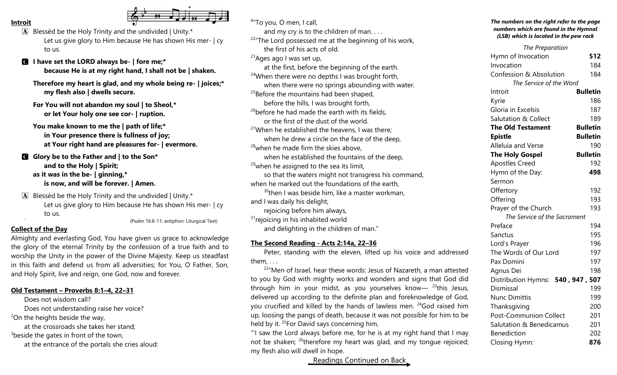#### **Introit**

- $\mathbf{A}$  Blessèd be the Holy Trinity and the undivided | Unity.\* Let us give glory to Him because He has shown His mer-  $|cy|$ to us.
- C **I have set the LORD always be- | fore me;\* because He is at my right hand, I shall not be | shaken.**
	- **Therefore my heart is glad, and my whole being re- | joices;\* my flesh also | dwells secure.**
	- **For You will not abandon my soul | to Sheol,\* or let Your holy one see cor- | ruption.**
	- **You make known to me the | path of life;\* in Your presence there is fullness of joy; at Your right hand are pleasures for- | evermore.**
- C **Glory be to the Father and | to the Son\* and to the Holy | Spirit; as it was in the be- | ginning,\* is now, and will be forever. | Amen.**
- $\mathbf{A}$  Blessèd be the Holy Trinity and the undivided | Unity.\* Let us give glory to Him because He has shown His mer-  $|cy|$ to us. ` (Psalm 16:8-11; antiphon: Liturgical Text)

#### **Collect of the Day**

Almighty and everlasting God, You have given us grace to acknowledge the glory of the eternal Trinity by the confession of a true faith and to worship the Unity in the power of the Divine Majesty. Keep us steadfast in this faith and defend us from all adversities; for You, O Father, Son, and Holy Spirit, live and reign, one God, now and forever.

#### **Old Testament – Proverbs 8:1–4, 22–31**

Does not wisdom call? Does not understanding raise her voice?  $2$ On the heights beside the way, at the crossroads she takes her stand;  $3$ beside the gates in front of the town, at the entrance of the portals she cries aloud:

| and my cry is to the children of man<br><sup>22</sup> The Lord possessed me at the beginning of his work,<br>the first of his acts of old.<br><sup>23</sup> Ages ago I was set up,<br>at the first, before the beginning of the earth. |
|----------------------------------------------------------------------------------------------------------------------------------------------------------------------------------------------------------------------------------------|
|                                                                                                                                                                                                                                        |
|                                                                                                                                                                                                                                        |
|                                                                                                                                                                                                                                        |
|                                                                                                                                                                                                                                        |
|                                                                                                                                                                                                                                        |
| <sup>24</sup> When there were no depths I was brought forth,                                                                                                                                                                           |
| when there were no springs abounding with water.                                                                                                                                                                                       |
| <sup>25</sup> Before the mountains had been shaped,                                                                                                                                                                                    |
| before the hills, I was brought forth,                                                                                                                                                                                                 |
| <sup>26</sup> before he had made the earth with its fields,                                                                                                                                                                            |
| or the first of the dust of the world.                                                                                                                                                                                                 |
| <sup>27</sup> When he established the heavens, I was there;                                                                                                                                                                            |
| when he drew a circle on the face of the deep,                                                                                                                                                                                         |
| <sup>28</sup> when he made firm the skies above,                                                                                                                                                                                       |
| when he established the fountains of the deep,                                                                                                                                                                                         |
| <sup>29</sup> when he assigned to the sea its limit,                                                                                                                                                                                   |
| so that the waters might not transgress his command,                                                                                                                                                                                   |
| when he marked out the foundations of the earth,                                                                                                                                                                                       |
| <sup>30</sup> then I was beside him, like a master workman,                                                                                                                                                                            |
| and I was daily his delight,                                                                                                                                                                                                           |
| rejoicing before him always,                                                                                                                                                                                                           |
| <sup>31</sup> rejoicing in his inhabited world                                                                                                                                                                                         |
| and delighting in the children of man."                                                                                                                                                                                                |

# **The Second Reading - Acts 2:14a, 22–36**

Peter, standing with the eleven, lifted up his voice and addressed them, . . .

 $22^{\nu}$ Men of Israel, hear these words: Jesus of Nazareth, a man attested to you by God with mighty works and wonders and signs that God did through him in your midst, as you yourselves know—  $23$ this Jesus, delivered up according to the definite plan and foreknowledge of God, you crucified and killed by the hands of lawless men. <sup>24</sup>God raised him up, loosing the pangs of death, because it was not possible for him to be held by it. <sup>25</sup>For David says concerning him,

"'I saw the Lord always before me, for he is at my right hand that I may not be shaken; <sup>26</sup>therefore my heart was glad, and my tongue rejoiced; my flesh also will dwell in hope.

Readings Continued on Back

#### *The numbers on the right refer to the page numbers which are found in the Hymnal (LSB) which is located in the pew rack*

| <b>The Preparation</b>            |                 |
|-----------------------------------|-----------------|
| Hymn of Invocation                | 512             |
| Invocation                        | 184             |
| Confession & Absolution           | 184             |
| The Service of the Word           |                 |
| Introit                           | <b>Bulletin</b> |
| Kyrie                             | 186             |
| Gloria in Excelsis                | 187             |
| <b>Salutation &amp; Collect</b>   | 189             |
| <b>The Old Testament</b>          | <b>Bulletin</b> |
| <b>Epistle</b>                    | <b>Bulletin</b> |
| Alleluia and Verse                | 190             |
| <b>The Holy Gospel</b>            | <b>Bulletin</b> |
| <b>Apostles Creed</b>             | 192             |
| Hymn of the Day:                  | 498             |
| Sermon                            |                 |
| Offertory                         | 192             |
| Offering                          | 193             |
| Prayer of the Church              | 193             |
| The Service of the Sacrament      |                 |
| Preface                           | 194             |
| Sanctus                           | 195             |
| Lord's Prayer                     | 196             |
| The Words of Our Lord             | 197             |
| Pax Domini                        | 197             |
| Agnus Dei                         | 198             |
| Distribution Hymns: 540, 947, 507 |                 |
| Dismissal                         | 199             |
| <b>Nunc Dimittis</b>              | 199             |
| Thanksgiving                      | 200             |
| <b>Post-Communion Collect</b>     | 201             |
| Salutation & Benedicamus          | 201             |
| <b>Benediction</b>                | 202             |
| Closing Hymn:                     | 876             |